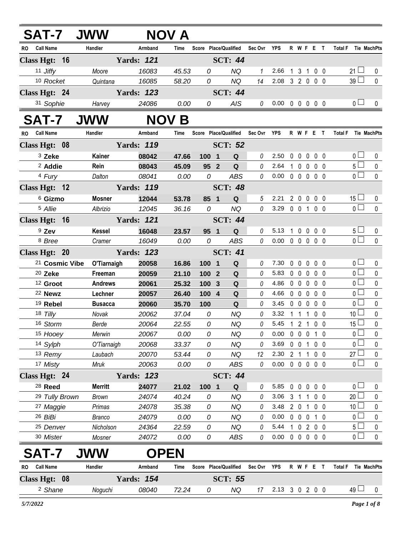| <b>SAT-7 JWW</b>              |                 |                   | NOV A          |                                     |                         |              |                            |                               |                            |                  |                              |                                    |                  |
|-------------------------------|-----------------|-------------------|----------------|-------------------------------------|-------------------------|--------------|----------------------------|-------------------------------|----------------------------|------------------|------------------------------|------------------------------------|------------------|
| <b>Call Name</b><br>RO        | Handler         | Armband           | Time           | Score Place/Qualified               |                         | Sec Ovr YPS  |                            |                               |                            | R W F E T        |                              | Total F Tie MachPts                |                  |
| Class Hgt: 16                 |                 | <b>Yards: 121</b> |                |                                     | <b>SCT: 44</b>          |              |                            |                               |                            |                  |                              |                                    |                  |
| 11 Jiffy                      | Moore           | 16083             | 45.53          | 0                                   | <b>NQ</b>               | $\mathbf{1}$ | 2.66 1 3 1 0 0             |                               |                            |                  |                              | $21 \Box$                          | 0                |
| 10 Rocket                     | Quintana        | 16085             | 58.20          | 0                                   | <b>NQ</b>               | 14           | 2.08 3 2 0 0 0             |                               |                            |                  |                              | $39\square$                        | $\pmb{0}$        |
| Class Hgt: 24                 |                 | <b>Yards: 123</b> |                |                                     | <b>SCT: 44</b>          |              |                            |                               |                            |                  |                              |                                    |                  |
| 31 Sophie                     | Harvey          | 24086             | 0.00           | 0                                   | AIS                     | $\theta$     | $0.00 \t0 \t0 \t0 \t0 \t0$ |                               |                            |                  |                              | 0 <sub>1</sub>                     | 0                |
| <b>SAT-7</b>                  | <b>JWW</b>      |                   | <b>NOV B</b>   |                                     |                         |              |                            |                               |                            |                  |                              |                                    |                  |
| <b>Call Name</b><br>RO        | Handler         | Armband           | Time           | Score Place/Qualified Sec Ovr YPS   |                         |              |                            |                               |                            | R W F E T        |                              | <b>Total F</b><br>Tie MachPts      |                  |
| Class Hgt: 08                 |                 | <b>Yards: 119</b> |                |                                     | <b>SCT: 52</b>          |              |                            |                               |                            |                  |                              |                                    |                  |
| 3 Zeke                        | Kainer          | 08042             | 47.66          | 100 1                               | Q                       | 0            | 2.50                       | $\mathbf 0$                   | $\mathbf 0$                | $\mathbf 0$      | $0\quad 0$                   | 0 <sup>1</sup>                     | $\pmb{0}$        |
| <sup>2</sup> Addie            | Rein            | 08043             | 45.09          | 95 2                                | Q                       | 0            | 2.64                       | $\mathbf{1}$                  |                            | 0 0 0 0          |                              | $5\Box$                            | $\pmb{0}$        |
| 4 Fury                        | Dalton          | 08041             | 0.00           | 0                                   | <b>ABS</b>              | $\theta$     | $0.00 \t0 \t0 \t0 \t0 \t0$ |                               |                            |                  |                              | $\overline{0}$                     | $\mathbf 0$      |
| Class Hgt: 12                 |                 | <b>Yards: 119</b> |                |                                     | <b>SCT: 48</b>          |              |                            |                               |                            |                  |                              |                                    |                  |
| <sup>6</sup> Gizmo            | <b>Mosner</b>   | 12044             | 53.78          | 85 1                                | Q                       | 5            | 2.21                       |                               | 200                        |                  | 0 <sub>0</sub>               | $15\Box$                           | 0                |
| <sup>5</sup> Allie            | Albrizio        | 12045             | 36.16          | 0                                   | <b>NQ</b>               | $\theta$     | 3.29 0 0 1 0 0             |                               |                            |                  |                              | $\overline{0}$                     | 0                |
| Class Hgt: 16                 |                 | <b>Yards: 121</b> |                |                                     | <b>SCT: 44</b>          |              |                            |                               |                            |                  |                              |                                    |                  |
| $9$ Zev                       | <b>Kessel</b>   | 16048             | 23.57          | 95 1                                | Q                       | 0            | 5.13                       | 1                             | $0\quad 0$                 |                  | 0 <sub>0</sub>               | 5 <sub>1</sub>                     | 0                |
| <sup>8</sup> Bree             | Cramer          | 16049             | 0.00           | $\mathcal{O}$                       | <b>ABS</b>              | $\theta$     | $0.00 \t0 \t0 \t0 \t0 \t0$ |                               |                            |                  |                              | $\overline{0}$                     | $\mathbf 0$      |
| Class Hgt: 20                 |                 | <b>Yards: 123</b> |                |                                     | <b>SCT: 41</b>          |              |                            |                               |                            |                  |                              |                                    |                  |
| <sup>21</sup> Cosmic Vibe     | O'Tiarnaigh     | 20058             | 16.86          | 100 1                               | Q                       | 0            | 7.30                       | $\mathbf{0}$                  | $\mathbf 0$                | $\mathbf 0$      | 0 <sub>0</sub>               | 0 <sub>1</sub>                     | 0                |
| 20 Zeke                       | Freeman         | 20059             | 21.10          | 100 2                               | Q                       | $\theta$     | 5.83                       |                               | $0\quad 0\quad 0$          |                  | $0\quad 0$                   | $\overline{0}$                     | $\pmb{0}$        |
| <sup>12</sup> Groot           | <b>Andrews</b>  | 20061             | 25.32          | 100 3                               | $\mathbf Q$             | $\theta$     | 4.86                       | 00000                         |                            |                  |                              | $\overline{0}$                     | $\pmb{0}$        |
| 22 Newz                       | Lechner         | 20057             | 26.40          | 100 4                               | Q                       | $\theta$     | 4.66                       | $0\quad 0$                    | $\overline{0}$             |                  | 0 <sub>0</sub>               | $\overline{0}$                     | $\pmb{0}$        |
| 19 Rebel                      | <b>Busacca</b>  | 20060             | 35.70          | 100                                 | Q                       | 0            | 3.45                       | $0\quad 0\quad 0$             |                            |                  | 0 <sub>0</sub>               | $\overline{0}$                     | $\pmb{0}$        |
| 18 Tilly                      | Novak           | 20062             | 37.04          | 0                                   | <b>NQ</b>               | 0            | 3.32                       | $\overline{1}$                |                            | 1 1 0 0          |                              | 10 <sup>1</sup>                    | $\pmb{0}$        |
| 16 Storm                      | Berde           | 20064             | 22.55          | 0                                   | NQ                      | 0            | 5.45                       | $\overline{1}$                | 2 <sub>1</sub>             |                  | $0\quad 0$                   | $15\overline{\Box}$                | $\mathbf 0$      |
| 15 Hooey                      | Merwin          | 20067             | 0.00           | 0                                   | NQ                      | 0            | 0.00                       | $\mathbf 0$                   | $\mathbf 0$                | $\mathbf 0$      | 1 0                          | $\overline{0}$                     | 0                |
| 14 Sylph                      | O'Tiarnaigh     | 20068<br>20070    | 33.37          | 0                                   | NQ                      | 0            | 3.69                       | $\mathbf 0$                   | $\mathbf 0$                | $\mathbf{1}$     | 0 <sub>0</sub>               | $\overline{0}$ $\Box$<br>$27 \Box$ | 0                |
| 13 Remy<br>17 Misty           | Laubach<br>Mruk | 20063             | 53.44<br>0.00  | 0<br>0                              | <b>NQ</b><br><b>ABS</b> | 12<br>0      | 2.30<br>0.00               | 2 <sub>1</sub><br>$\mathbf 0$ | $\mathbf 0$                | 1<br>$\mathbf 0$ | $0\quad 0$<br>0 <sub>0</sub> | 0 <sub>0</sub>                     | 0<br>$\mathbf 0$ |
| Class Hgt: 24                 |                 | <b>Yards: 123</b> |                |                                     | <b>SCT: 44</b>          |              |                            |                               |                            |                  |                              |                                    |                  |
| <sup>28</sup> Reed            | <b>Merritt</b>  | 24077             |                |                                     |                         | 0            | 5.85                       | 0                             | $\mathbf 0$<br>$\mathbf 0$ |                  | 0 <sub>0</sub>               | 0 <sub>1</sub>                     |                  |
| 29 Tully Brown                | <b>Brown</b>    | 24074             | 21.02<br>40.24 | 100<br>$\overline{\mathbf{1}}$<br>0 | $\mathbf Q$<br>NQ       | 0            | 3.06                       | $\mathbf{3}$                  | $\overline{1}$             | $\mathbf{1}$     | 0 <sub>0</sub>               | $20\Box$                           | 0<br>0           |
| 27 Maggie                     | Primas          | 24078             | 35.38          | 0                                   | <b>NQ</b>               | 0            | 3.48                       | $\overline{2}$                | $\mathbf 0$                | 1                | 0 <sub>0</sub>               | 10 <sup>1</sup>                    | 0                |
| 26 BiBi                       | <b>Branco</b>   | 24079             | 0.00           | 0                                   | NQ                      | 0            | 0.00                       | $\mathbf 0$                   | $\mathbf 0$<br>$\mathbf 0$ |                  | 1 0                          | 0 <sub>0</sub>                     | 0                |
| <sup>25</sup> Denver          | Nicholson       | 24364             | 22.59          | 0                                   | <b>NQ</b>               | 0            | 5.44                       | 1                             | $\pmb{0}$                  | 200              |                              | 5 <sub>1</sub>                     | 0                |
| 30 Mister                     | Mosner          | 24072             | 0.00           | 0                                   | ABS                     | 0            | $0.00 \t0 \t0 \t0 \t0 \t0$ |                               |                            |                  |                              | $\overline{0}$                     | 0                |
| SAT-7                         | <b>JWW</b>      | <b>OPEN</b>       |                |                                     |                         |              |                            |                               |                            |                  |                              |                                    |                  |
| <b>Call Name</b><br><b>RO</b> | Handler         | Armband           | Time           | Score Place/Qualified               |                         | Sec Ovr YPS  |                            |                               |                            | R W F E T        |                              | <b>Total F</b>                     | Tie MachPts      |
| Class Hgt: 08                 |                 | <b>Yards: 154</b> |                |                                     | <b>SCT: 55</b>          |              |                            |                               |                            |                  |                              |                                    |                  |
| <sup>2</sup> Shane            | Noguchi         | 08040             | 72.24          | 0                                   | NQ                      | 17           | 2.13 3 0 2 0 0             |                               |                            |                  |                              | $49 \Box$                          | 0                |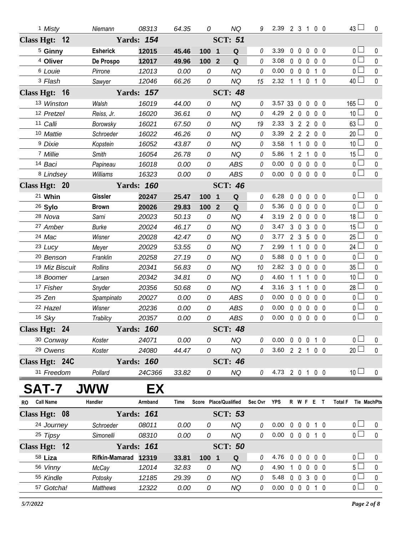| <sup>1</sup> Misty            | Niemann         | 08313             | 64.35 | 0                              | <b>NQ</b>             | 9       | 2.39 2 3 1 0 0             |                |                     |              |                | $43 \Box$                            | 0           |
|-------------------------------|-----------------|-------------------|-------|--------------------------------|-----------------------|---------|----------------------------|----------------|---------------------|--------------|----------------|--------------------------------------|-------------|
| Class Hgt: 12                 |                 | <b>Yards: 154</b> |       |                                | <b>SCT: 51</b>        |         |                            |                |                     |              |                |                                      |             |
| <sup>5</sup> Ginny            | <b>Esherick</b> | 12015             | 45.46 | 100<br>$\overline{\mathbf{1}}$ | Q                     | 0       | 3.39                       | $0\quad 0$     |                     | $\mathbf 0$  | 0 <sub>0</sub> | 0 <sub>0</sub>                       | $\mathbf 0$ |
| <sup>4</sup> Oliver           | De Prospo       | 12017             | 49.96 | 100 2                          | Q                     | 0       | 3.08                       | $0\quad 0$     |                     | $\mathbf 0$  | 0 <sub>0</sub> | 0 <sup>1</sup>                       | $\mathbf 0$ |
| <sup>6</sup> Louie            | Pirrone         | 12013             | 0.00  | 0                              | <b>NQ</b>             | 0       | 0.00                       |                | $0\quad 0\quad 0$   |              | 1 <sub>0</sub> | 0 <sup>1</sup>                       | $\pmb{0}$   |
| <sup>3</sup> Flash            | Sawyer          | 12046             | 66.26 | 0                              | <b>NQ</b>             | 15      | 2.32                       | $1\quad1$      |                     | $\mathbf 0$  | $1\quad0$      | 40 <sup>1</sup>                      | $\pmb{0}$   |
| Class Hgt: 16                 |                 | <b>Yards: 157</b> |       |                                | <b>SCT: 48</b>        |         |                            |                |                     |              |                |                                      |             |
| 13 Winston                    | Walsh           | 16019             | 44.00 | 0                              | <b>NQ</b>             | 0       | 3.57 33 0 0 0 0            |                |                     |              |                | $165 -$                              | 0           |
| 12 Pretzel                    | Reiss, Jr.      | 16020             | 36.61 | 0                              | <b>NQ</b>             | 0       | 4.29                       |                | 200                 |              | 0 <sub>0</sub> | 10 <sup>1</sup>                      | 0           |
| 11 Calli                      | Borowsky        | 16021             | 67.50 | 0                              | <b>NQ</b>             | 19      | 2.33                       |                | 3 2 2               |              | $0\quad 0$     | 63                                   | $\pmb{0}$   |
| 10 Mattie                     | Schroeder       | 16022             | 46.26 | 0                              | <b>NQ</b>             | 0       | 3.39                       |                | $2 \quad 2 \quad 2$ |              | 0 <sub>0</sub> | 20                                   | $\mathbf 0$ |
| <sup>9</sup> Dixie            | Kopstein        | 16052             | 43.87 | 0                              | <b>NQ</b>             | 0       | 3.58                       | $\mathbf 1$    | -1                  | 0            | 0 <sub>0</sub> | 10 <sup>1</sup>                      | 0           |
| 7 Millie                      | Smith           | 16054             | 26.78 | 0                              | <b>NQ</b>             | 0       | 5.86                       |                | $121$               |              | 0 <sub>0</sub> | 15 <sup>1</sup>                      | 0           |
| 14 Baci                       | Papineau        | 16018             | 0.00  | 0                              | <b>ABS</b>            | 0       | 0.00                       |                | $0\quad 0\quad 0$   |              | 0 <sub>0</sub> | 0 <sub>0</sub>                       | $\pmb{0}$   |
| 8 Lindsey                     | Williams        | 16323             | 0.00  | 0                              | ABS                   | 0       | 0.00                       |                | $0\quad 0\quad 0$   |              | $0\quad 0$     | 0 <sub>0</sub>                       | $\pmb{0}$   |
| Class Hgt: 20                 |                 | <b>Yards: 160</b> |       |                                | <b>SCT: 46</b>        |         |                            |                |                     |              |                |                                      |             |
| 21 Whin                       | <b>Gissler</b>  | 20247             | 25.47 | 100<br>$\overline{\mathbf{1}}$ | Q                     | 0       | 6.28                       | $0\quad 0$     |                     | $\mathbf 0$  | 0 <sub>0</sub> | 0 <sub>0</sub>                       | $\mathbf 0$ |
| 26 Sylo                       | <b>Brown</b>    | 20026             | 29.83 | 100 2                          | Q                     | 0       | 5.36                       | $0\quad 0$     |                     | $\mathbf{0}$ | 0 <sub>0</sub> | 0 l                                  | 0           |
| 28 Nova                       | Sarni           | 20023             | 50.13 | 0                              | <b>NQ</b>             | 4       | 3.19                       |                | 200                 |              | $0\quad 0$     | 18 <sup>L</sup>                      | $\pmb{0}$   |
| 27 Amber                      | <b>Burke</b>    | 20024             | 46.17 | 0                              | <b>NQ</b>             | 0       | 3.47                       | $3\quad0$      |                     | 3            | 0 <sub>0</sub> | 15                                   | 0           |
| 24 Mac                        | Wisner          | 20028             | 42.47 | $\mathcal{O}$                  | <b>NQ</b>             | 0       | 3.77                       | 2 <sub>3</sub> |                     | -5           | $0\quad 0$     | 25                                   | 0           |
| 23 Lucy                       | Meyer           | 20029             | 53.55 | 0                              | <b>NQ</b>             | 7       | 2.99                       | 1.             | $\mathbf{1}$        | $\mathbf{0}$ | 0 <sub>0</sub> | 24 <sup>1</sup>                      | 0           |
| <sup>20</sup> Benson          | Franklin        | 20258             | 27.19 | $\mathcal{O}$                  | <b>NQ</b>             | 0       | 5.88                       |                | 0 0 1               |              | $0\quad 0$     | 0 <sup>1</sup>                       | $\pmb{0}$   |
| 19 Miz Biscuit                | Rollins         | 20341             | 56.83 | 0                              | <b>NQ</b>             | 10      | 2.82                       | 3 0            |                     | $\mathbf 0$  | 0 <sub>0</sub> | 35 <sup>5</sup>                      | 0           |
| 18 Boomer                     | Larsen          | 20342             | 34.81 | $\mathcal{O}$                  | <b>NQ</b>             | 0       | 4.60                       |                | -1                  | 1            | 0 <sub>0</sub> | 10 <sup>L</sup>                      | 0           |
| 17 Fisher                     | Snyder          | 20356             | 50.68 | 0                              | <b>NQ</b>             | 4       | 3.16                       | 3 <sub>1</sub> |                     | 1            | 0 <sub>0</sub> | 28 <sup>1</sup>                      | 0           |
| 25 Zen                        | Spampinato      | 20027             | 0.00  | 0                              | <b>ABS</b>            | 0       | 0.00                       | $0\quad 0$     |                     | $\mathbf 0$  | 0 <sub>0</sub> | 0 <sub>0</sub>                       | $\pmb{0}$   |
| 22 Hazel                      | Wisner          | 20236             | 0.00  | 0                              | <b>ABS</b>            | 0       | 0.00                       | 0 <sub>0</sub> |                     | $\mathbf{0}$ | 0 <sub>0</sub> | 0 l                                  | 0           |
| 16 Sky                        | Trabilcy        | 20357             | 0.00  | 0                              | <b>ABS</b>            | 0       | 0.00                       |                | $0\quad 0\quad 0$   |              | 0 <sub>0</sub> | 0 L                                  | $\mathbf 0$ |
| Class Hgt: 24                 |                 | <b>Yards: 160</b> |       |                                | <b>SCT: 48</b>        |         |                            |                |                     |              |                |                                      |             |
| 30 Conway                     | Koster          | 24071             | 0.00  | 0                              | <b>NQ</b>             | 0       | $0.00 \t0 \t0 \t0 \t1 \t0$ |                |                     |              |                | 0 <sub>1</sub>                       | 0           |
| 29 Owens                      | Koster          | 24080             | 44.47 | 0                              | NQ                    | 0       | 3.60 2 2 1 0 0             |                |                     |              |                | $20$ $\Box$                          | $\pmb{0}$   |
| Class Hgt: 24C                |                 | <b>Yards: 160</b> |       |                                | <b>SCT: 46</b>        |         |                            |                |                     |              |                |                                      |             |
| 31 Freedom                    | Pollard         | 24C366            | 33.82 | 0                              | <b>NQ</b>             | 0       | 4.73 2 0 1 0 0             |                |                     |              |                | 10 <sup>1</sup>                      | 0           |
| <b>SAT-7</b>                  | <b>JWW</b>      | EX                |       |                                |                       |         |                            |                |                     |              |                |                                      |             |
| <b>Call Name</b><br><b>RO</b> | Handler         | Armband           | Time  |                                | Score Place/Qualified | Sec Ovr | YPS                        |                |                     | R W F E T    |                | <b>Total F</b><br><b>Tie MachPts</b> |             |
| Class Hgt: 08                 |                 | <b>Yards: 161</b> |       |                                | <b>SCT: 53</b>        |         |                            |                |                     |              |                |                                      |             |
| 24 Journey                    | Schroeder       | 08011             | 0.00  | 0                              | <b>NQ</b>             | 0       | 0.00                       |                |                     | 0 0 0 1 0    |                | 0 <sub>1</sub>                       | 0           |
| 25 Tipsy                      | Simonelli       | 08310             | 0.00  | 0                              | <b>NQ</b>             | 0       | $0.00 \t0 \t0 \t0 \t1 \t0$ |                |                     |              |                | $\overline{0}$                       | $\mathbf 0$ |
| Class Hgt: 12                 |                 | <b>Yards: 161</b> |       |                                | <b>SCT: 50</b>        |         |                            |                |                     |              |                |                                      |             |
| 58 Liza                       | Rifkin-Mamarad  | 12319             | 33.81 | 100 1                          | Q                     | 0       | 4.76                       |                |                     | 00000        |                | 0 <sub>1</sub>                       | 0           |
| 56 Vinny                      | McCay           | 12014             | 32.83 | 0                              | <b>NQ</b>             | 0       | 4.90                       |                |                     | 1 0 0 0 0    |                | 5 <sub>1</sub>                       | $\pmb{0}$   |
| 55 Kindle                     | Potosky         | 12185             | 29.39 | 0                              | <b>NQ</b>             | 0       | 5.48                       |                |                     | 0 0 3 0 0    |                | 0 <sub>0</sub>                       | 0           |
| 57 Gotcha!                    | <b>Matthews</b> | 12322             | 0.00  | 0                              | NQ                    | 0       | 0.00                       | 0 0 0 1 0      |                     |              |                | $\overline{0}$                       | $\pmb{0}$   |
|                               |                 |                   |       |                                |                       |         |                            |                |                     |              |                |                                      |             |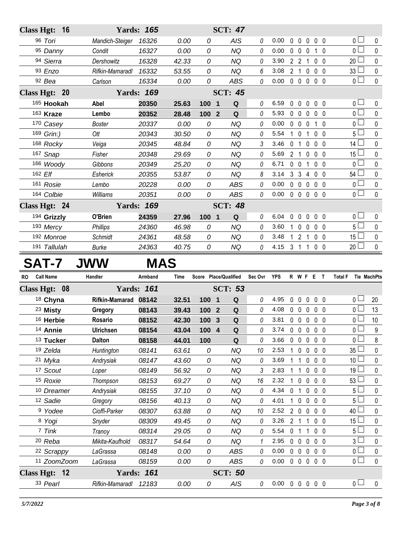|           | Class Hgt: 16             |             |                       | <b>Yards: 165</b>          |       |                       | <b>SCT: 47</b>          |             |         |                            |                               |                     |                     |                          |                               |             |
|-----------|---------------------------|-------------|-----------------------|----------------------------|-------|-----------------------|-------------------------|-------------|---------|----------------------------|-------------------------------|---------------------|---------------------|--------------------------|-------------------------------|-------------|
|           | 96 Tori                   |             | Mandich-Steiger       | 16326                      | 0.00  | 0                     |                         | <b>AIS</b>  | 0       | 0.00                       | $\mathbf{0}$                  | $\overline{0}$      | $\mathbf 0$         | $0\quad 0$               | 0 <sub>0</sub>                | 0           |
|           | 95 Danny                  |             | Condit                | 16327                      | 0.00  | 0                     |                         | <b>NQ</b>   | 0       | 0.00                       |                               | $0\quad 0$          | $\mathbf 0$         | $1\quad0$                | 0 <sub>0</sub>                | 0           |
|           | 94 Sierra                 |             | Dershowitz            | 16328                      | 42.33 | 0                     |                         | <b>NQ</b>   | 0       | 3.90                       |                               | $2 \quad 2 \quad 1$ |                     | 0 <sub>0</sub>           | $20$ $\Box$                   | 0           |
|           | 93 Enzo                   |             | Rifkin-Mamaradl       | 16332                      | 53.55 | 0                     |                         | <b>NQ</b>   | 6       | 3.08                       |                               | 2 <sub>1</sub>      | $\mathbf 0$         | 0 <sub>0</sub>           | $33 -$                        | 0           |
|           | 92 Bea                    |             | Carlson               | 16334                      | 0.00  | 0                     |                         | <b>ABS</b>  | 0       | 0.00                       |                               | $0\quad 0\quad 0$   |                     | 0 <sub>0</sub>           | 0 <sub>1</sub>                | $\mathbf 0$ |
|           | Class Hgt: 20             |             |                       | <b>Yards: 169</b>          |       |                       | <b>SCT: 45</b>          |             |         |                            |                               |                     |                     |                          |                               |             |
|           | 165 Hookah                |             | Abel                  | 20350                      | 25.63 | 100                   | $\blacksquare$          | Q           | 0       | 6.59                       |                               | $0\quad 0$          | $\mathbf 0$         | 0 <sub>0</sub>           | 0 <sub>0</sub>                | 0           |
|           | 163 Kraze                 |             | Lembo                 | 20352                      | 28.48 | 100                   | $\overline{2}$          | Q           | 0       | 5.93                       |                               | $0\quad 0$          | $\mathbf 0$         | $0\quad 0$               | 0 <sub>1</sub>                | 0           |
|           | 170 Casey                 |             | <b>Boster</b>         | 20337                      | 0.00  | 0                     |                         | <b>NQ</b>   | 0       | 0.00                       |                               | $0\quad 0$          | $\mathbf 0$         | 1 0                      | 0 <sub>1</sub>                | 0           |
|           | 169 Grin:)                |             | Ott                   | 20343                      | 30.50 | 0                     |                         | <b>NQ</b>   | 0       | 5.54                       |                               | $1\quad0$           | $\overline{1}$      | 0 <sub>0</sub>           | 5 L                           | 0           |
|           | 168 Rocky                 |             | Veiga                 | 20345                      | 48.84 | 0                     |                         | <b>NQ</b>   | 3       | 3.46                       | 0                             | $\overline{1}$      | $\mathbf{0}$        | 0 <sub>0</sub>           | $14$ $\Box$                   | 0           |
|           | 167 Snap                  |             | Fisher                | 20348                      | 29.69 | 0                     |                         | <b>NQ</b>   | 0       | 5.69                       | 2 <sub>1</sub>                |                     | $\mathbf 0$         | $0\quad 0$               | $15-$                         | 0           |
|           | 166 Woody                 |             | Gibbons               | 20349                      | 25.20 | 0                     |                         | <b>NQ</b>   | 0       | 6.71                       |                               | $0\quad 0$          | 1 0 0               |                          | 0 <sub>1</sub>                | 0           |
|           | 162 Elf                   |             | Esherick              | 20355                      | 53.87 | 0                     |                         | <b>NQ</b>   | 8       | 3.14                       |                               | $3 \quad 3 \quad 4$ |                     | 0 <sub>0</sub>           | 54 L                          | 0           |
|           | 161 Rosie                 |             | Lembo                 | 20228                      | 0.00  | 0                     |                         | <b>ABS</b>  | 0       | 0.00                       |                               | $0\quad 0\quad 0$   |                     | 0 <sub>0</sub>           | 0 <sub>1</sub>                | 0           |
|           | 164 Colbie                |             | Williams              | 20351                      | 0.00  | 0                     |                         | <b>ABS</b>  | 0       | 0.00                       |                               | $0\quad 0$          | $\mathbf 0$         | 0 <sub>0</sub>           | 0 <sub>0</sub>                | $\mathbf 0$ |
|           | Class Hgt: 24             |             |                       | <b>Yards: 169</b>          |       |                       | <b>SCT: 48</b>          |             |         |                            |                               |                     |                     |                          |                               |             |
|           | 194 Grizzly               |             | O'Brien               | 24359                      | 27.96 | 100 1                 |                         | Q           | 0       | 6.04                       | 0                             | $\mathbf{0}$        | $\mathbf 0$         | 0 <sub>0</sub>           | 0 <sub>1</sub>                | 0           |
|           | 193 Mercy                 |             | <b>Phillips</b>       | 24360                      | 46.98 | 0                     |                         | <b>NQ</b>   | 0       | 3.60                       |                               | $1\quad 0$          | $\mathbf 0$         | 0 <sub>0</sub>           | 5 <sub>1</sub>                | $\mathbf 0$ |
|           | 192 Monroe                |             | Schmidt               | 24361                      | 48.58 | 0                     |                         | <b>NQ</b>   | 0       | 3.48                       |                               |                     | 1 2 1 0 0           |                          | 15 <sup>1</sup>               | 0           |
|           | 191 Tallulah              |             | <b>Burke</b>          | 24363                      | 40.75 | 0                     |                         | <b>NQ</b>   | 0       | 4.15                       |                               |                     | $3 \quad 1 \quad 1$ | $0\quad 0$               | $20$ $\Box$                   | $\pmb{0}$   |
|           | <b>SAT-7</b>              |             | <b>JWW</b>            | <b>MAS</b>                 |       |                       |                         |             |         |                            |                               |                     |                     |                          |                               |             |
|           |                           |             |                       |                            |       |                       |                         |             |         |                            |                               |                     |                     |                          |                               |             |
| <b>RO</b> | <b>Call Name</b>          |             | Handler               | Armband                    | Time  | Score Place/Qualified |                         |             | Sec Ovr | <b>YPS</b>                 |                               |                     | R W F E T           |                          | <b>Total F</b><br>Tie MachPts |             |
|           | Class Hgt: 08             |             |                       | <b>Yards: 161</b>          |       |                       | <b>SCT: 53</b>          |             |         |                            |                               |                     |                     |                          |                               |             |
|           | 18 Chyna                  |             | <b>Rifkin-Mamarad</b> | 08142                      | 32.51 | 100                   | $\overline{\mathbf{1}}$ | Q           | 0       | 4.95                       | 0                             | $\mathbf 0$         | $\mathbf 0$         | 0 <sub>0</sub>           | 0 L                           | 20          |
|           | 23 Misty                  |             | Gregory               | 08143                      | 39.43 | 100                   | $\overline{2}$          | Q           | 0       | 4.08                       |                               | $0\quad 0\quad 0$   |                     | 0 <sub>0</sub>           | 0 <sub>0</sub>                | 13          |
|           | 16 Herbie                 |             | Rosario               | 08152                      | 42.30 | 100 3                 |                         | $\mathbf Q$ | 0       | 3.81                       |                               | $0\quad 0\quad 0$   |                     | 0 <sub>0</sub>           | 0 <sub>0</sub>                | 10          |
|           | 14 Annie                  |             | Ulrichsen             | 08154                      | 43.04 | 100 4                 |                         | Q           | 0       | 3.74                       |                               | $0\quad 0$          | $0\quad 0\quad 0$   |                          | $\overline{0}$                | 9           |
|           | 13 Tucker                 |             | <b>Dalton</b>         | 08158                      | 44.01 | 100                   |                         | Q           | 0       | 3.66                       | $\mathbf 0$                   | $\mathbf 0$         | $\mathbf 0$         | 0 <sub>0</sub>           | $\overline{0}$                | 8           |
|           | 19 Zelda                  |             | Huntington            | 08141                      | 63.61 | 0                     |                         | <b>NQ</b>   | 10      | 2.53                       |                               | $\mathbf 0$         | 0                   | $0\quad 0$               | $35 -$                        | 0           |
|           | 21 Myka                   |             | Andrysiak             | 08147                      | 43.60 | 0                     |                         | <b>NQ</b>   | 0       | 3.69                       |                               | 1                   | 0                   | $0\quad 0$               | 10 <sup>L</sup>               | 0           |
|           | 17 Scout                  |             | Loper                 | 08149                      | 56.92 | 0                     |                         | <b>NQ</b>   | 3       | 2.83                       |                               | 1                   | 0                   | $0\quad 0$               | $19\perp$                     | 0           |
|           | 15 Roxie                  |             | Thompson              | 08153                      | 69.27 | 0                     |                         | <b>NQ</b>   | 16      | 2.32                       | 1.                            | $\mathbf 0$         | $\mathbf 0$         | 0 <sub>0</sub>           | 53                            | 0           |
|           | 10 Dreamer                |             | Andrysiak             | 08155                      | 37.10 | 0                     |                         | <b>NQ</b>   | 0       | 4.34                       | 0                             | 1                   | 0                   | $0\quad 0$               | 5 <sup>1</sup>                | 0           |
|           | 12 Sadie                  |             | Gregory               | 08156                      | 40.13 | 0                     |                         | <b>NQ</b>   | 0       | 4.01                       | 1.                            | $\mathbf 0$         | 0                   | $0\quad 0$               | 5 <sup>1</sup>                | 0           |
|           | <sup>9</sup> Yodee        |             | Cioffi-Parker         | 08307                      | 63.88 | 0                     |                         | <b>NQ</b>   | 10      | 2.52                       |                               | $2\quad 0$          | $\mathbf 0$         | 0 <sub>0</sub>           | $40$ $-$                      | 0           |
|           | 8 Yogi                    |             | Snyder                | 08309                      | 49.45 | 0                     |                         | <b>NQ</b>   | 0<br>0  | 3.26<br>5.54               | 2 <sub>1</sub><br>$\mathbf 0$ | 1                   | 1<br>1              | $0\quad 0$<br>$0\quad 0$ | 15 <sup>1</sup>               | 0           |
|           | 7 Tink                    |             |                       |                            |       |                       |                         |             |         |                            |                               |                     |                     |                          | 5 <sub>1</sub>                | 0           |
|           |                           |             | Tranoy                | 08314                      | 29.05 | 0                     |                         | <b>NQ</b>   |         |                            |                               |                     |                     |                          |                               |             |
|           | <sup>20</sup> Reba        |             | Mikita-Kaufhold       | 08317                      | 54.64 | 0                     |                         | <b>NQ</b>   | 1       | 2.95                       | $\mathbf 0$                   | $\mathbf 0$         | 0                   | $0\quad 0$               | 3 <sup>l</sup>                | 0           |
|           | 22 Scrappy                |             | LaGrassa              | 08148                      | 0.00  | 0                     |                         | ABS         | 0       | 0.00                       | 0                             | $\mathbf 0$         | $\mathbf 0$         | $0\quad 0$               | 0 <sub>0</sub>                | 0           |
|           |                           | 11 ZoomZoom | LaGrassa              | 08159                      | 0.00  | 0                     |                         | ABS         | 0       | 0.00                       |                               | $0\quad 0$          | $\mathbf 0$         | 0 <sub>0</sub>           | $\overline{0}$                | $\mathbf 0$ |
|           | Class Hgt: 12<br>33 Pearl |             | Rifkin-Mamaradl       | <b>Yards: 161</b><br>12183 | 0.00  | 0                     | <b>SCT: 50</b>          | AIS         | 0       | $0.00 \t0 \t0 \t0 \t0 \t0$ |                               |                     |                     |                          | $\overline{0}$                | 0           |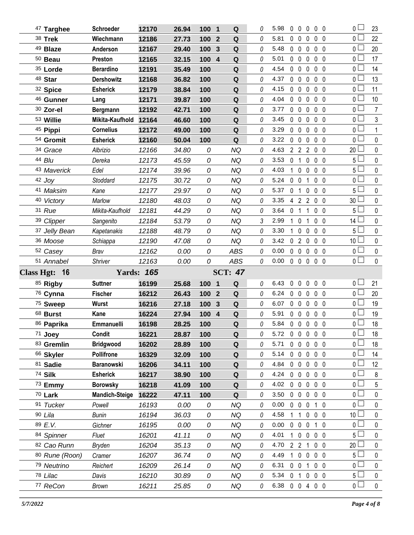| 47 Targhee           | <b>Schroeder</b>      | 12170             | 26.94          | 100 1                 | Q               | 0        | 5.98           |                   | $0\quad 0$        | $\mathbf 0$  | $0\quad 0$                      | 0 <sub>0</sub>                   | 23                       |
|----------------------|-----------------------|-------------------|----------------|-----------------------|-----------------|----------|----------------|-------------------|-------------------|--------------|---------------------------------|----------------------------------|--------------------------|
| 38 Trek              | Wiechmann             | 12186             | 27.73          | 100<br>$\overline{2}$ | $\mathbf Q$     | 0        | 5.81           |                   | $0\quad 0$        | $\mathbf 0$  | 0 <sub>0</sub>                  | 0 <sub>1</sub>                   | 22                       |
| 49 Blaze             | Anderson              | 12167             | 29.40          | $\mathbf{3}$<br>100   | Q               | 0        | 5.48           |                   | $0\quad 0$        | $\mathbf 0$  | 0 <sub>0</sub>                  | 0 L                              | 20                       |
| $50$ Beau            | Preston               | 12165             | 32.15          | $\overline{4}$<br>100 | ${\bf Q}$       | 0        | 5.01           |                   | $0\quad 0$        | $\mathbf 0$  | 0 <sub>0</sub>                  | 0 <sup>1</sup>                   | 17                       |
| 35 Lorde             | <b>Berardino</b>      | 12191             | 35.49          | 100                   | Q               | 0        | 4.54           | $0\quad 0$        |                   | $\mathbf 0$  | 0 <sub>0</sub>                  | 0 L                              | 14                       |
| 48 Star              | <b>Dershowitz</b>     | 12168             | 36.82          | 100                   | ${\bf Q}$       | 0        | 4.37           | $0\quad 0$        |                   | $\mathbf 0$  | 0 <sub>0</sub>                  | 0 <sup>1</sup>                   | 13                       |
| 32 Spice             | <b>Esherick</b>       | 12179             | 38.84          | 100                   | Q               | 0        | 4.15           |                   | $0\quad 0\quad 0$ |              | 0 <sub>0</sub>                  | 0 <sub>1</sub>                   | 11                       |
| 46 Gunner            | Lang                  | 12171             | 39.87          | 100                   | ${\bf Q}$       | 0        | 4.04           |                   | $0\quad 0$        | $\mathbf 0$  | 0 <sub>0</sub>                  | 0 <sub>1</sub>                   | 10                       |
| 30 Zor-el            | Bergmann              | 12192             | 42.71          | 100                   | Q               | 0        | 3.77           |                   | $0\quad 0$        | $\mathbf 0$  | 0 <sub>0</sub>                  | $\overline{0}$                   | 7                        |
| 53 Willie            | Mikita-Kaufhold       | 12164             | 46.60          | 100                   | Q               | 0        | 3.45           |                   | $0\quad 0\quad 0$ |              | 0 <sub>0</sub>                  | 0 <sub>0</sub>                   | $\mathfrak{Z}$           |
| 45 Pippi             | <b>Cornelius</b>      | 12172             | 49.00          | 100                   | Q               | 0        | 3.29           |                   | $0\quad 0$        | $\mathbf 0$  | 0 <sub>0</sub>                  | 0 <sub>0</sub>                   | 1                        |
| 54 Gromit            | <b>Esherick</b>       | 12160             | 50.04          | 100                   | Q               | 0        | 3.22           | $0\quad 0$        |                   | $\mathbf 0$  | 0 <sub>0</sub>                  | 0 <sub>0</sub>                   | $\mathbf 0$              |
| 34 Grace             | Albrizio              | 12166             | 34.80          | 0                     | <b>NQ</b>       | 0        | 4.63           |                   | 2 2 2             |              | $0\quad 0$                      | 20 <sup>L</sup>                  | 0                        |
| 44 Blu               | Dereka                | 12173             | 45.59          | 0                     | <b>NQ</b>       | 0        | 3.53           | $\mathbf 0$       | $\overline{1}$    | 0            | $0\quad 0$                      | $5+$                             | $\pmb{0}$                |
| 43 Maverick          | Edel                  | 12174             | 39.96          | 0                     | NQ              | 0        | 4.03           |                   | $1\quad0$         | $\mathbf 0$  | 0 <sub>0</sub>                  | 5 l                              | 0                        |
| $42$ Joy             | Stoddard              | 12175             | 30.72          | 0                     | <b>NQ</b>       | 0        | 5.24           | $0\quad 0$        |                   | 1            | 0 <sub>0</sub>                  | 0 <sup>1</sup>                   | $\pmb{0}$                |
| 41 Maksim            | Kane                  | 12177             | 29.97          | 0                     | NQ              | 0        | 5.37           | 0 <sub>1</sub>    |                   | 0            | 0 <sub>0</sub>                  | 5 <sup>1</sup>                   | 0                        |
| 40 Victory           | Marlow                | 12180             | 48.03          | 0                     | <b>NQ</b>       | 0        | 3.35           |                   | 4 2 2             |              | 0 <sub>0</sub>                  | 30 <sup>L</sup>                  | $\pmb{0}$                |
| 31 Rue               | Mikita-Kaufhold       | 12181             | 44.29          | 0                     | NQ              | 0        | 3.64           | 0 <sub>1</sub>    |                   | 1            | 0 <sub>0</sub>                  | 5 <sup>1</sup>                   | 0                        |
| 39 Clipper           | Sangenito             | 12184             | 53.79          | 0                     | NQ              | 3        | 2.99           | $\mathbf{1}$      | $\mathbf 0$       | 1            | 0 <sub>0</sub>                  | 14 <sup>L</sup>                  | $\pmb{0}$                |
| 37 Jelly Bean        | Kapetanakis           | 12188             | 48.79          | 0                     | NQ              | 0        | 3.30           | 1.                | $\mathbf 0$       | $\mathbf 0$  | 0 <sub>0</sub>                  | 5 <sup>1</sup>                   | 0                        |
| 36 Moose             | Schiappa              | 12190             | 47.08          | 0                     | <b>NQ</b>       | 0        | 3.42           |                   | 020               |              | 0 <sub>0</sub>                  | 10 $\Box$                        | $\pmb{0}$                |
| 52 Casey             | Brav                  | 12162             | 0.00           | 0                     | <b>ABS</b>      | 0        | 0.00           | $0\quad 0$        |                   | $\mathbf 0$  | 0 <sub>0</sub>                  | 0 <sub>0</sub>                   | 0                        |
|                      |                       |                   |                |                       |                 |          |                |                   |                   |              |                                 |                                  |                          |
| 51 Annabel           | Shriver               | 12163             | 0.00           | 0                     | <b>ABS</b>      | 0        | 0.00           |                   |                   |              | $0\quad 0\quad 0\quad 0\quad 0$ | $\overline{0}$                   | $\mathbf{0}$             |
| Class Hgt: 16        |                       | <b>Yards: 165</b> |                |                       | <b>SCT: 47</b>  |          |                |                   |                   |              |                                 |                                  |                          |
| 85 Rigby             | <b>Suttner</b>        | 16199             | 25.68          | 100 1                 | Q               | 0        | 6.43           | $0\quad 0$        |                   | $\mathbf 0$  | $0\quad 0$                      | 0 <sup>1</sup>                   | 21                       |
| 76 Cynna             | <b>Fischer</b>        | 16212             | 26.43          | 100 <sub>2</sub>      | Q               | 0        | 6.24           |                   | $0\quad 0\quad 0$ |              | $0\quad 0$                      | $0-$                             | 20                       |
| 75 Sweep             | Wurst                 | 16216             | 27.18          | 100<br>3              | Q               | 0        | 6.07           | $0\quad 0$        |                   | 0            | 0 <sub>0</sub>                  | 0 L                              | 19                       |
| 68 Burst             | Kane                  | 16224             | 27.94          | 100 4                 | Q               | $\theta$ | 5.91           |                   | $0\quad 0\quad 0$ |              | 0 <sub>0</sub>                  | 0 <sub>0</sub>                   | 19                       |
| 86 Paprika           | Emmanuelli            | 16198             | 28.25          | 100                   | Q               | 0        | 5.84 0 0 0 0 0 |                   |                   |              |                                 | 0 l                              | 18                       |
| 71 Joey              | Condit                | 16221             | 28.87          | 100                   | Q               | 0        | 5.72           | $0\quad 0\quad 0$ |                   |              | $0\quad 0$                      | 0 <sub>1</sub>                   | 18                       |
| 83 Gremlin           | <b>Bridgwood</b>      | 16202             | 28.89          | 100                   | Q               | 0        | 5.71           | $0\quad 0$        |                   | 0            | 0 <sub>0</sub>                  | 0 l                              | 18                       |
| 66 Skyler            | <b>Pollifrone</b>     | 16329             | 32.09          | 100                   | Q               | 0        | 5.14           | $0\quad 0$        |                   | $\mathbf 0$  | 0 <sub>0</sub>                  | 0 <sub>0</sub>                   | 14                       |
| 81 Sadie             | <b>Baranowski</b>     | 16206             | 34.11          | 100                   | Q               | 0        | 4.84           | 0                 | $\mathbf{0}$      | $\mathbf{0}$ | 0 <sub>0</sub>                  | 0 l                              | 12 <sup>°</sup>          |
| 74 Silk              | <b>Esherick</b>       | 16217             | 38.90          | 100                   | $\mathbf Q$     | 0        | 4.24           | $\mathbf 0$       | $\mathbf 0$       | $\mathbf 0$  | 0 <sub>0</sub>                  | 0 <sub>0</sub>                   | $\,8\,$                  |
| $73$ Emmy            | <b>Borowsky</b>       | 16218             | 41.09          | 100                   | Q               | 0        | 4.02           | $0\quad 0$        |                   | 0            | 0 <sub>0</sub>                  | 0 l                              | 5                        |
| 70 Lark              | <b>Mandich-Steige</b> | 16222             | 47.11          | 100                   | Q               | 0        | 3.50           | $0\quad 0$        |                   | $\mathbf 0$  | 0 <sub>0</sub>                  | 0 L                              | 0                        |
| 91 Tucker            | Powell                | 16193             | 0.00           | 0                     | NQ              | 0        | 0.00           | $0\quad 0$        |                   | 0            | 10                              | 0 <sub>0</sub>                   | 0                        |
| 90 Lila              | <b>Bunin</b>          | 16194             | 36.03          | 0                     | <b>NQ</b>       | 0        | 4.58           | 1                 | -1                | $\mathbf 0$  | 0 <sub>0</sub>                  | 10 <sup>2</sup>                  | 0                        |
| 89 E.V.              | Gichner               | 16195             | 0.00           | 0                     | <b>NQ</b>       | 0        | 0.00           | $0\quad 0$        |                   | 0            | 1 0                             | $\mathbf 0$                      | 0                        |
| 84 Spinner           | Fluet                 | 16201             | 41.11          | 0                     | <b>NQ</b>       | 0        | 4.01           | 1.                | $0\quad 0$        |              | 0 <sub>0</sub>                  | 5 <sup>1</sup>                   | 0                        |
| 82 Cao Runn          | <b>Bryden</b>         | 16204             | 35.13          | 0                     | <b>NQ</b>       | 0        | 4.70           |                   | 2 <sub>2</sub>    | 1            | 0 <sub>0</sub>                  | 20                               | 0                        |
| 80 Rune (Roon)       | Cramer                | 16207             | 36.74          | 0                     | <b>NQ</b>       | 0        | 4.49           | 1                 | $0\quad 0$        |              | 0 <sub>0</sub>                  | 5 <sup>L</sup>                   | 0                        |
| 79 Neutrino          | Reichert              | 16209             | 26.14          | 0                     | <b>NQ</b>       | 0        | 6.31           | $0\quad 0$        |                   | 1            | $0\quad 0$                      | 0 l                              | 0                        |
| 78 Lilac<br>77 ReCon | Davis<br><b>Brown</b> | 16210<br>16211    | 30.89<br>25.85 | 0<br>0                | <b>NQ</b><br>NQ | 0<br>0   | 5.34<br>6.38   | 0 <sub>1</sub>    |                   | 0            | 0 <sub>0</sub><br>0 0 4 0 0     | 5 <sup>1</sup><br>0 <sub>1</sub> | $\mathbf 0$<br>$\pmb{0}$ |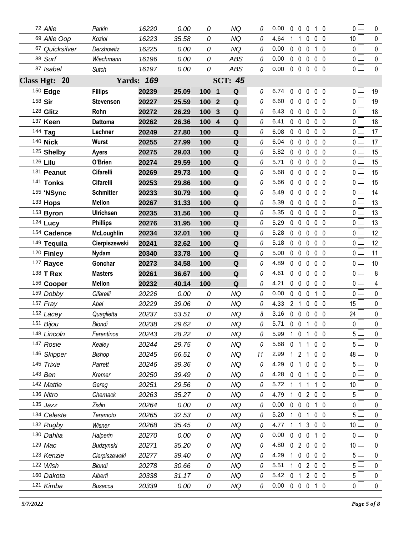| 72 Allie                | Parkin            | 16220             | 0.00          | 0      | NQ                           | 0        | 0.00         | 0              | $\mathbf{0}$                      | 0              | 1 0            |                | 0 L                              | 0              |
|-------------------------|-------------------|-------------------|---------------|--------|------------------------------|----------|--------------|----------------|-----------------------------------|----------------|----------------|----------------|----------------------------------|----------------|
| 69 Allie Oop            | Koziol            | 16223             | 35.58         | 0      | <b>NQ</b>                    | 0        | 4.64         | 1              | $\mathbf 1$                       | 0              |                | 0 <sub>0</sub> | 10 <sup>1</sup>                  | 0              |
| 67 Quicksilver          | Dershowitz        | 16225             | 0.00          | 0      | ΝQ                           | 0        | 0.00         |                | $0\quad 0$                        | 0              |                | $1\quad0$      | 0                                | 0              |
| 88 Surf                 | Wiechmann         | 16196             | 0.00          | 0      | <b>ABS</b>                   | 0        | 0.00         |                | $0\quad 0$                        | 0              |                | 0 <sub>0</sub> | 0 <sub>0</sub>                   | 0              |
| 87 Isabel               | Sutch             | 16197             | 0.00          | 0      | ABS                          | 0        | 0.00         |                | $0\quad 0\quad 0$                 |                | $0\quad 0$     |                | $\overline{0}$                   | 0              |
| Class Hgt: 20           |                   | <b>Yards: 169</b> |               |        | <b>SCT: 45</b>               |          |              |                |                                   |                |                |                |                                  |                |
| 150 Edge                | <b>Fillips</b>    | 20239             | 25.09         | 100 1  | Q                            | 0        | 6.74         | 0              | $\mathbf 0$                       | $\mathbf 0$    |                | 0 <sub>0</sub> | 0 <sub>0</sub>                   | 19             |
| 158 Sir                 | <b>Stevenson</b>  | 20227             | 25.59         | 100    | $\overline{2}$<br>Q          | 0        | 6.60         |                | $0\quad 0$                        | $\mathbf{0}$   |                | 0 <sub>0</sub> | 0 <sub>1</sub>                   | 19             |
| 128 Glitz               | Rohn              | 20272             | 26.29         | 100    | Q<br>3                       | $\theta$ | 6.43         |                | $0\quad 0$                        | $\mathbf 0$    |                | 0 <sub>0</sub> | $\overline{0}$ $\Box$            | 18             |
| 137 Keen                | <b>Dattoma</b>    | 20262             | 26.36         | 100    | $\overline{\mathbf{4}}$<br>Q | 0        | 6.41         |                | $0\quad 0$                        | 0              |                | 0 <sub>0</sub> | 0 l                              | 18             |
| 144 Tag                 | Lechner           | 20249             | 27.80         | 100    | Q                            | 0        | 6.08         |                | 0 <sub>0</sub>                    | $\mathbf 0$    |                | 0 <sub>0</sub> | 0 l                              | 17             |
| 140 <b>Nick</b>         | Wurst             | 20255             | 27.99         | 100    | ${\bf Q}$                    | 0        | 6.04         | $\mathbf{0}$   | $\overline{0}$                    | $\mathbf{0}$   |                | 0 <sub>0</sub> | 0 L                              | 17             |
| 125 Shelby              | <b>Ayers</b>      | 20275             | 29.03         | 100    | $\mathbf Q$                  | 0        | 5.82         | $\mathbf 0$    | $\mathbf 0$                       | $\mathbf 0$    |                | 0 <sub>0</sub> | 0 L                              | 15             |
| 126 Lilu                | O'Brien           | 20274             | 29.59         | 100    | Q                            | 0        | 5.71         |                | $0\quad 0$                        | $\mathbf 0$    |                | 0 <sub>0</sub> | $0-$                             | 15             |
| 131 Peanut              | Cifarelli         | 20269             | 29.73         | 100    | $\mathbf Q$                  | $\theta$ | 5.68         | $\mathbf 0$    | $\mathbf 0$                       | $\mathbf 0$    |                | 0 <sub>0</sub> | 0 <sub>0</sub>                   | 15             |
| 141 Tonks               | Cifarelli         | 20253             | 29.86         | 100    | Q                            | 0        | 5.66         |                | $0\quad 0$                        | 0              |                | 0 <sub>0</sub> | 0 <sub>0</sub>                   | 15             |
| 155 'NSync              | <b>Schmitter</b>  | 20233             | 30.79         | 100    | Q                            | 0        | 5.49         | $\mathbf 0$    | $\mathbf 0$                       | 0              |                | 0 <sub>0</sub> | 0 L                              | 14             |
| 133 Hops                | <b>Mellon</b>     | 20267             | 31.33         | 100    | Q                            | 0        | 5.39         |                | $0\quad 0$                        | 0              |                | 0 <sub>0</sub> | 0 L                              | 13             |
| 153 Byron               | <b>Ulrichsen</b>  | 20235             | 31.56         | 100    | Q                            | 0        | 5.35         | $\mathbf{0}$   | $\overline{0}$                    | $\mathbf 0$    |                | 0 <sub>0</sub> | 0 L                              | 13             |
| 124 Lucy                | <b>Phillips</b>   | 20276             | 31.95         | 100    | Q                            | 0        | 5.29         |                | $0\quad 0$                        | 0              |                | 0 <sub>0</sub> | $0 -$                            | 13             |
| 154 Cadence             | <b>McLoughlin</b> | 20234             | 32.01         | 100    | $\mathbf Q$                  | 0        | 5.28         | $\mathbf 0$    | $\mathbf 0$                       | 0              |                | 0 <sub>0</sub> | 0 <sub>0</sub>                   | 12             |
| 149 Tequila             | Cierpiszewski     | 20241             | 32.62         | 100    | Q                            | 0        | 5.18         |                | $0\quad 0$                        | 0              |                | 0 <sub>0</sub> | 0 L                              | 12             |
| 120 Finley              | <b>Nydam</b>      | 20340             | 33.78         | 100    | Q                            | 0        | 5.00         | $\mathbf 0$    | $\mathbf 0$                       | 0              |                | 0 <sub>0</sub> | 0 <sub>0</sub>                   | 11             |
| 127 Rayce               | Gonchar           | 20273             | 34.58         | 100    | Q                            | 0        | 4.89         |                | $0\quad 0$                        | 0              |                | 0 <sub>0</sub> | 0 L                              | 10             |
| 138 T Rex               | <b>Masters</b>    | 20261             | 36.67         | 100    | Q                            | 0        | 4.61         | 0              | $\mathbf 0$                       | 0              |                | 0 <sub>0</sub> | 0 <sub>0</sub>                   | 8              |
| 156 Cooper              | <b>Mellon</b>     | 20232             | 40.14         | 100    | Q                            | 0        | 4.21         |                | $0\quad 0$                        | 0              |                | 0 <sub>0</sub> | 0 l                              | 4              |
| 159 Dobby               | Cifarelli         | 20226             | 0.00          | 0      | <b>NQ</b>                    | 0        | 0.00         | $\mathbf 0$    | $\mathbf 0$                       | 0              |                | $1\quad0$      | 0 L                              | $\mathbf 0$    |
| 157 Fray                | Abel              | 20229             | 39.06         | 0      | <b>NQ</b>                    | 0        | 4.33         | 2 <sup>7</sup> | $\mathbf{1}$                      | 0              |                | 0 <sub>0</sub> | $15\perp$                        | 0              |
| 152 Lacey               | Quaglietta        | 20237             | 53.51         | 0      | <b>NQ</b>                    | 8        | 3.16         |                | $0\quad 0$                        | $\mathbf 0$    |                | 0 <sub>0</sub> | 24                               | $\pmb{0}$      |
| 151 Bijou               | <b>Biondi</b>     | 20238             | 29.62         | 0      | <b>NQ</b>                    | 0        | 5.71         |                | $0\quad 0$                        | $\mathbf{1}$   | $\mathbf 0$    | 0              | 0                                | 0              |
| 148 Lincoln             | Ferentinos        | 20243             | 28.22         | 0      | <b>NQ</b>                    | 0        | 5.99         |                |                                   | 1 0 1          | 0 <sub>0</sub> |                | 5 l                              | 0              |
| 147 Rosie               | Kealey            | 20244             | 29.75         | 0      | <b>NQ</b>                    | 0        | 5.68         | 0              | $\mathbf{1}$                      | 1              | 0 <sub>0</sub> |                | 5 <sup>1</sup>                   | 0              |
| 146 Skipper             | Bishop            | 20245             | 56.51         | 0      | <b>NQ</b>                    | 11       | 2.99         | $\mathbf{1}$   | $\overline{2}$                    | 1              |                | 0 <sub>0</sub> | 48                               | 0              |
| 145 Trixie              | Parrett           | 20246             | 39.36         | 0      | NQ                           | 0        | 4.29         | 0              | $\mathbf{1}$                      | $\mathbf 0$    | 0 <sub>0</sub> |                | 5 l                              | 0              |
| 143 Ben                 | Kramer            | 20250             | 39.49         | 0      | <b>NQ</b>                    | 0        | 4.28         | 0              | $\mathbf 0$                       | 1              |                | 0 <sub>0</sub> | 0 <sup>1</sup>                   | 0              |
| 142 Mattie              | Gereg             | 20251             | 29.56         | 0      | <b>NQ</b>                    | 0        | 5.72         | 1              | $\mathbf{1}$                      | 1              | 1 0            |                | 10 <sup>1</sup>                  | 0              |
| 136 Nitro               | Chernack          | 20263             | 35.27         | 0      | <b>NQ</b>                    | 0        | 4.79         | $\mathbf{1}$   | $\mathbf 0$                       | $\overline{2}$ | $0\quad 0$     |                | 5 <sub>1</sub>                   | 0              |
| $135$ Jazz              | Zislin            | 20264             | 0.00          | 0      | <b>NQ</b>                    | 0        | 0.00         | 0              | $\mathbf 0$                       | $\mathbf 0$    |                | 1 0            | 0 l                              | 0              |
| 134 Celeste             | Teramoto          | 20265             | 32.53         | 0      | <b>NQ</b>                    | 0        | 5.20         |                | $\mathbf 0$                       | 1              |                | 0 <sub>0</sub> | 5 <sub>1</sub>                   | 0              |
| 132 Rugby               | Wisner            | 20268             | 35.45         | 0      | NQ                           | 0        | 4.77         |                | $\mathbf{1}$                      | 3              | 0 <sub>0</sub> |                | 10 <sup>L</sup>                  | 0              |
| 130 Dahlia              | Halperin          | 20270             | 0.00          | 0      | <b>NQ</b>                    | 0        | 0.00         |                | $0\quad 0$                        | $\mathbf 0$    |                | $1\quad0$      | 0 <sub>0</sub>                   | 0              |
| 129 Mac                 | Budzynski         | 20271             | 35.20         | 0      | <b>NQ</b>                    | 0        | 4.80         |                | 020                               |                |                | 0 <sub>0</sub> | 10 <sup>1</sup>                  | 0              |
| 123 Kenzie              | Cierpiszewski     | 20277             | 39.40         | 0      | <b>NQ</b>                    | 0        | 4.29         | 1              | $\mathbf 0$                       | $\mathbf 0$    |                | 0 <sub>0</sub> | 5 <sub>1</sub>                   | 0              |
| 122 Wish                | Biondi            | 20278             | 30.66         | 0      | <b>NQ</b>                    | 0        | 5.51         |                | $1\quad0$                         | $\overline{2}$ | $0\quad 0$     |                | $5\Box$                          | 0              |
|                         |                   |                   |               |        |                              |          |              |                |                                   |                |                |                |                                  |                |
| 160 Dakota<br>121 Kimba | Alberti           | 20338<br>20339    | 31.17<br>0.00 | 0<br>0 | <b>NQ</b><br>NQ              | 0        | 5.42<br>0.00 | $\mathbf 0$    | $\mathbf{1}$<br>$0\quad 0\quad 0$ | $\overline{2}$ | $1\quad0$      | $0\quad 0$     | 5 <sup>1</sup><br>$\overline{0}$ | 0<br>$\pmb{0}$ |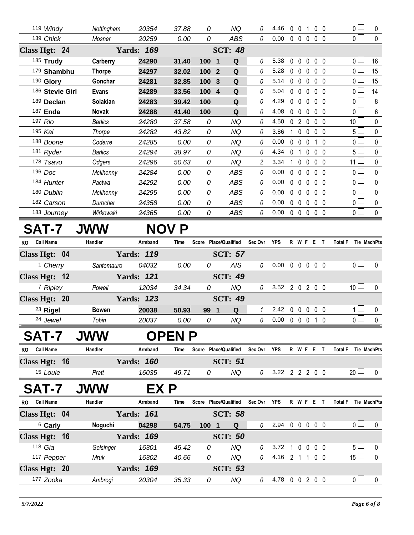| 119 Windy       | Nottingham     | 20354             | 37.88        | 0                              | <b>NQ</b>      | 0 | 4.46 | $\mathbf{0}$<br>$\mathbf{0}$  | 1                              | 0 <sub>0</sub>    |     | 0 <sub>1</sub>  | 0           |
|-----------------|----------------|-------------------|--------------|--------------------------------|----------------|---|------|-------------------------------|--------------------------------|-------------------|-----|-----------------|-------------|
| 139 Chick       | Mosner         | 20259             | 0.00         | 0                              | <b>ABS</b>     | 0 | 0.00 | 0<br>$\mathbf 0$              | 0                              | 0 <sub>0</sub>    |     | $\overline{0}$  | $\pmb{0}$   |
| Class Hgt: 24   |                | <b>Yards: 169</b> |              |                                | <b>SCT: 48</b> |   |      |                               |                                |                   |     |                 |             |
| 185 Trudy       | Carberry       | 24290             | 31.40        | 100<br>$\mathbf 1$             | Q              | 0 | 5.38 | 0<br>$\mathbf{0}$             | $\mathbf{0}$                   | 0 <sub>0</sub>    |     | $\overline{0}$  | 16          |
| 179 Shambhu     | <b>Thorpe</b>  | 24297             | 32.02        | 100<br>$\overline{2}$          | Q              | 0 | 5.28 | $\mathbf 0$<br>$\mathbf{0}$   | 0                              | $0\quad 0$        |     | $\overline{0}$  | 15          |
| 190 Glory       | Gonchar        | 24281             | 32.85        | 100<br>$\overline{3}$          | Q              | 0 | 5.14 | $\mathbf 0$<br>$\mathbf{0}$   | $\mathbf{0}$                   | 0 <sub>0</sub>    |     | $\overline{0}$  | 15          |
| 186 Stevie Girl | <b>Evans</b>   | 24289             | 33.56        | 100<br>$\overline{\mathbf{4}}$ | Q              | 0 | 5.04 | $\Omega$<br>$\Omega$          | $\Omega$                       | 0 <sub>0</sub>    |     | $\overline{0}$  | 14          |
| 189 Declan      | Solakian       | 24283             | 39.42        | 100                            | Q              | 0 | 4.29 | $\Omega$<br>$\Omega$          | $\Omega$                       | $\Omega$          | - 0 | $\overline{0}$  | 8           |
| 187 Enda        | Novak          | 24288             | 41.40        | 100                            | Q              | 0 | 4.08 | 0<br>$\mathbf 0$              | $\Omega$                       | 0 <sub>0</sub>    |     | $_0$ $\Box$     | 6           |
| 197 Rio         | Barlics        | 24280             | 37.58        | 0                              | <b>NQ</b>      | 0 | 4.50 | $\mathbf{0}$                  | $\overline{2}$<br>$\mathbf{0}$ | $0\quad 0$        |     | 10 <sup>1</sup> | 0           |
| 195 Kai         | Thorpe         | 24282             | 43.82        | 0                              | <b>NQ</b>      | 0 | 3.86 | $\mathbf 0$<br>1              | $\mathbf 0$                    | 0 <sub>0</sub>    |     | 5 <sub>1</sub>  | 0           |
| 188 Boone       | Coderre        | 24285             | 0.00         | 0                              | NQ             | 0 | 0.00 | $\Omega$<br>$\Omega$          | $\Omega$                       | $1\quad$ $\Omega$ |     | $_0$ $\Box$     | 0           |
| 181 Ryder       | <b>Barlics</b> | 24294             | 38.97        | 0                              | <b>NQ</b>      | 0 | 4.34 | 0                             | 0                              | $\mathbf 0$       | - 0 | $5\Box$         | $\mathbf 0$ |
| 178 Tsavo       | Odgers         | 24296             | 50.63        | 0                              | <b>NQ</b>      | 2 | 3.34 | $\mathbf{0}$                  | $\mathbf{0}$                   | 0 <sub>0</sub>    |     | 11 $\square$    | 0           |
| 196 Doc         | McIlhenny      | 24284             | 0.00         | 0                              | <b>ABS</b>     | 0 | 0.00 | $\mathbf 0$<br>$\mathbf 0$    | $\mathbf 0$                    | $0\quad 0$        |     | $\overline{0}$  | $\mathbf 0$ |
| 184 Hunter      | Pactwa         | 24292             | 0.00         | 0                              | <b>ABS</b>     | 0 | 0.00 | $\mathbf 0$<br>$\overline{0}$ | $\mathbf{0}$                   | 0 <sub>0</sub>    |     | $\overline{0}$  | $\mathbf 0$ |
| 180 Dublin      | McIlhenny      | 24295             | 0.00         | 0                              | <b>ABS</b>     | 0 | 0.00 | $\Omega$<br>$\mathbf{0}$      | $\mathbf{0}$                   | $0\quad 0$        |     | $\overline{0}$  | 0           |
| 182 Carson      | Durocher       | 24358             | 0.00         | 0                              | <b>ABS</b>     | 0 | 0.00 | $\Omega$<br>$\Omega$          | $\Omega$                       | $0\quad 0$        |     | $\overline{0}$  | 0           |
| 183 Journey     | Wirkowski      | 24365             | 0.00         | 0                              | ABS            | 0 | 0.00 | $\mathbf 0$<br>$\overline{0}$ | 0                              | $0\quad 0$        |     | $\overline{0}$  | 0           |
| <b>SAT-7</b>    | <b>JWW</b>     |                   | <b>NOV P</b> |                                |                |   |      |                               |                                |                   |     |                 |             |

## **R Place/Qualified MachPts RO Call Name Handler Armband Time Score Sec Ovr YPS W F E T Total F Tie Class Hgt: 04 Yards:** *119* **SCT:** *57* 1 *Cherry Santomauro 04032 0.00 0 AIS 0* 0.00 0 0 0 0 0 0 0 **Class Hgt: 12 Yards:** *121* **SCT:** *49* 7 *Ripley Powell 12034 34.34 0 NQ 0* 3.52 2 0 2 0 0 10 0 **Class Hgt: 20 Yards:** *123* **SCT:** *49* 23 **Rigel Bowen 20038 50.93 99 1 Q** *1* 2.42 0 0 0 0 0 1 0 24 *Jewel Tobin 20037 0.00 0 NQ 0* 0.00 0 0 0 1 0 0 0

## **SAT-7 JWW OPEN P**

| <b>RO</b> | Call Name                          | Handler | Armband | Time  | Score | <b>Place/Qualified</b> | Sec Ovr | YPS RWFE |       |  | <b>Total F</b> |                 | Tie MachPts |
|-----------|------------------------------------|---------|---------|-------|-------|------------------------|---------|----------|-------|--|----------------|-----------------|-------------|
|           | Class Hgt: 16<br><b>Yards: 160</b> |         |         |       |       | <b>SCT: 51</b>         |         |          |       |  |                |                 |             |
|           | <sup>15</sup> Louie                | Pratt   | 16035   | 49.71 |       | ΝQ                     |         | 3.22     | 22200 |  |                | 20 <sup>L</sup> |             |

## **SAT-7 JWW EX P**

| <b>RO</b> | <b>Call Name</b>   | Handler   | Armband           | Time  | Score Place/Qualified |                | Sec Ovr | <b>YPS</b> | R             | WF. | Е                 |     | Total F |       | <b>Tie MachPts</b> |
|-----------|--------------------|-----------|-------------------|-------|-----------------------|----------------|---------|------------|---------------|-----|-------------------|-----|---------|-------|--------------------|
|           | Class Hgt: 04      |           | <b>Yards: 161</b> |       |                       | <b>SCT: 58</b> |         |            |               |     |                   |     |         |       |                    |
|           | <sup>6</sup> Carly | Noguchi   | 04298             | 54.75 | 100<br>$\blacksquare$ | Q              |         | 2.94       | $\cup$        |     | $0\quad 0\quad 0$ |     |         | ∩ —   |                    |
|           | Class Hgt: 16      |           | <b>Yards: 169</b> |       |                       | <b>SCT: 50</b> |         |            |               |     |                   |     |         |       |                    |
|           | 118 $Gia$          | Gelsinger | 16301             | 45.42 | 0                     | ΝQ             | 0       | 3.72       |               |     | $0\quad 0\quad 0$ |     |         | $5 -$ |                    |
|           | 117 Pepper         | Mruk      | 16302             | 40.66 | 0                     | ΝQ             | 0       | 4.16       | $\mathcal{P}$ |     | $\Omega$          | - 0 |         | 15    |                    |
|           | Class Hgt: 20      |           | <b>Yards: 169</b> |       | <b>SCT: 53</b>        |                |         |            |               |     |                   |     |         |       |                    |
|           | 177 Zooka          | Ambrogi   | 20304             | 35.33 | 0                     | ΝQ             |         | 4.78       |               |     | 200               |     |         | 0 l   |                    |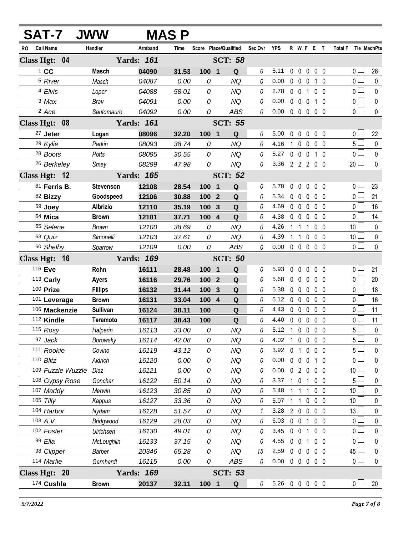| <b>SAT-7</b>             | <b>JWW</b>       |                   | <b>MAS P</b> |                  |                       |          |                |                |                     |                |                |                                  |                  |
|--------------------------|------------------|-------------------|--------------|------------------|-----------------------|----------|----------------|----------------|---------------------|----------------|----------------|----------------------------------|------------------|
| <b>Call Name</b><br>RO   | Handler          | Armband           | Time         |                  | Score Place/Qualified | Sec Ovr  | <b>YPS</b>     |                | R W F E T           |                |                | <b>Total F</b>                   | Tie MachPts      |
| Class Hgt: 04            |                  | <b>Yards: 161</b> |              |                  | <b>SCT: 58</b>        |          |                |                |                     |                |                |                                  |                  |
| $1$ CC                   | Masch            | 04090             | 31.53        | 100 1            | Q                     | 0        | 5.11           |                | $0\quad 0\quad 0$   |                | $0\quad 0$     | 0 <sub>1</sub>                   | 26               |
| <sup>5</sup> River       | Masch            | 04087             | 0.00         | 0                | <b>NQ</b>             | 0        | 0.00           |                | $0\quad 0$          | 0              | $1\quad0$      | 0 <sub>l</sub>                   | $\mathbf 0$      |
| 4 Elvis                  | Loper            | 04088             | 58.01        | 0                | <b>NQ</b>             | 0        | 2.78           |                | $0\quad 0$          | $\mathbf{1}$   | 0 <sub>0</sub> | 0 <sub>0</sub>                   | $\pmb{0}$        |
| 3 Max                    | Brav             | 04091             | 0.00         | 0                | <b>NQ</b>             | 0        | 0.00           |                | $0\quad 0\quad 0$   |                | $1\quad0$      | $\overline{0}$                   | 0                |
| <sup>2</sup> Ace         | Santomauro       | 04092             | 0.00         | 0                | <b>ABS</b>            | 0        | 0.00           |                | $0\quad 0\quad 0$   |                | 0 <sub>0</sub> | 0 <sup>2</sup>                   | 0                |
| Class Hgt: 08            |                  | <b>Yards: 161</b> |              |                  | <b>SCT: 55</b>        |          |                |                |                     |                |                |                                  |                  |
| 27 Jeter                 | Logan            | 08096             | 32.20        | 100 1            | Q                     | 0        | 5.00           | $\mathbf 0$    | $\mathbf 0$         | $\mathbf 0$    | 0 <sub>0</sub> | 0 <sub>1</sub>                   | 22               |
| 29 Kylie                 | Parkin           | 08093             | 38.74        | 0                | <b>NQ</b>             | $\theta$ | 4.16           | $\mathbf{1}$   | $\mathbf 0$         | $\mathbf 0$    | 0 <sub>0</sub> | 5 <sub>1</sub>                   | $\mathbf 0$      |
| 28 Boots                 | Potts            | 08095             | 30.55        | 0                | <b>NQ</b>             | 0        | 5.27           |                | $0\quad 0\quad 0$   |                | 1 0            | $\overline{0}$                   | 0                |
| 26 Berkeley              | Smey             | 08299             | 47.98        | 0                | <b>NQ</b>             | $\theta$ | 3.36           |                | 2 2 2 0 0           |                |                | $20$ $\Box$                      | $\Omega$         |
| Class Hgt: 12            |                  | <b>Yards: 165</b> |              |                  | <b>SCT: 52</b>        |          |                |                |                     |                |                |                                  |                  |
| $61$ Ferris B.           | <b>Stevenson</b> | 12108             | 28.54        | 100 1            | Q                     | 0        | 5.78           | 0              | $\mathbf 0$         | $\mathbf 0$    | 0 <sub>0</sub> | 0 <sub>0</sub>                   | 23               |
| 62 Bizzy                 | Goodspeed        | 12106             | 30.88        | 100 <sub>2</sub> | Q                     | 0        | 5.34           |                | $0\quad 0$          | $\overline{0}$ | 0 <sub>0</sub> | 0 <sup>1</sup>                   | 21               |
| 59 Joey                  | <b>Albrizio</b>  | 12110             | 35.19        | 100 3            | Q                     | 0        | 4.69           |                | $0\quad 0$          | $\mathbf{0}$   | 0 <sub>0</sub> | 0 <sub>1</sub>                   | 16               |
| 64 Mica                  | <b>Brown</b>     | 12101             | 37.71        | 100 4            | Q                     | 0        | 4.38           | $\mathbf 0$    | $\mathbf 0$         | $\mathbf{0}$   | 0 <sub>0</sub> | 0 <sup>1</sup>                   | 14               |
| 65 Selene                | <b>Brown</b>     | 12100             | 38.69        | 0                | <b>NQ</b>             | 0        | 4.26           |                | $1\quad1$           | 1              | 0 <sub>0</sub> | 10 <sup>1</sup>                  | $\mathbf 0$      |
| 63 Quiz                  | Simonelli        | 12103             | 37.61        | 0                | <b>NQ</b>             | 0        | 4.39           |                | $1\quad1$           | 0              | 0 <sub>0</sub> | 10 <sup>1</sup>                  | $\mathbf 0$      |
| 60 Shelby                | Sparrow          | 12109             | 0.00         | 0                | <b>ABS</b>            | 0        | 0.00           |                | $0\quad 0\quad 0$   |                | 0 <sub>0</sub> | $\overline{0}$                   | $\mathbf 0$      |
| Class Hgt: 16            |                  | <b>Yards: 169</b> |              |                  | <b>SCT: 50</b>        |          |                |                |                     |                |                |                                  |                  |
| 116 Eve                  | Rohn             | 16111             | 28.48        | 100 1            | Q                     | 0        | 5.93           | 0              | $\mathbf 0$         | $\mathbf 0$    | 0 <sub>0</sub> | 0 <sub>1</sub>                   | 21               |
| 113 Carly                | <b>Ayers</b>     | 16116             | 29.76        | 100 2            | Q                     | 0        | 5.68           |                | $0\quad 0$          | $\mathbf 0$    | 0 <sub>0</sub> | 0 <sub>0</sub>                   | 20               |
| 100 Prize                | <b>Fillips</b>   | 16132             | 31.44        | 100              | $\mathbf{3}$<br>Q     | 0        | 5.38           |                | $0\quad 0$          | $\mathbf 0$    | 0 <sub>0</sub> | 0 <sub>0</sub>                   | 18               |
| 101 Leverage             | <b>Brown</b>     | 16131             | 33.04        | 100 4            | Q                     | 0        | 5.12           |                | $0\quad 0$          | $\mathbf 0$    | 0 <sub>0</sub> | 0 <sup>2</sup>                   | 16               |
| 106 Mackenzie            | <b>Sullivan</b>  | 16124             | 38.11        | 100              | Q                     | 0        | 4.43           | $\mathbf 0$    | $\overline{0}$      | $\mathbf{0}$   | 0 <sub>0</sub> | 0 <sub>1</sub>                   | 11               |
| 112 Kindle               | <b>Teramoto</b>  | 16117             | 38.43        | 100              | ${\bf Q}$             | $\theta$ | 4.40           |                | $0\quad 0\quad 0$   |                | 0 <sub>0</sub> | $\overline{0}$                   | 11               |
| 115 Rosy                 | Halperin         | 16113             | 33.00        | 0                | <b>NQ</b>             | 0        | 5.12           | $\overline{1}$ | $\mathbf 0$         | $\mathbf 0$    | 0 <sub>0</sub> | 5 <sub>1</sub>                   | 0                |
| 97 Jack                  | Borowsky         | 16114             | 42.08        | 0                | <b>NQ</b>             | 0        | 4.02           | 1.             | $\mathbf{0}$        | 0              | 0 <sub>0</sub> | 5 <sub>1</sub>                   | 0                |
| 111 Rookie               | Covino           | 16119             | 43.12        | 0                | <b>NQ</b>             | 0        | 3.92           | $\mathbf 0$    | $\mathbf 1$         | 0              | $0\quad 0$     | 5 <sup>L</sup>                   | 0                |
| 110 Blitz                | Aldrich          | 16120             | 0.00         | 0                | <b>NQ</b>             | 0        | 0.00           |                | $0\quad 0$          | $\overline{0}$ | 1 0            | 0 <sup>1</sup>                   | 0                |
| 109 Fuzzle Wuzzle        | Diaz             | 16121             | 0.00         | 0                | <b>NQ</b>             | 0        | 0.00           |                | 020                 |                | 0 <sub>0</sub> | 10 <sup>L</sup>                  | 0                |
| 108 Gypsy Rose           | Gonchar          | 16122             | 50.14        | 0                | <b>NQ</b>             | 0        | 3.37           |                | $1\quad 0$          | 1              | $0\quad 0$     | 5 <sub>1</sub>                   | 0                |
| 107 Maddy                | Merwin           | 16123             | 30.85        | 0                | <b>NQ</b>             | 0        | 5.48           |                | -1                  | 1              | $0\quad 0$     | 10 <sup>2</sup>                  | 0                |
| 105 Tilly                | Kappus           | 16127             | 33.36        | 0                | <b>NQ</b>             | 0        | 5.07           | $\mathbf{1}$   | $\overline{1}$      | $\mathbf 0$    | 0 <sub>0</sub> | 10 <sup>1</sup>                  | 0                |
| 104 Harbor               | Nydam            | 16128             | 51.57        | 0                | <b>NQ</b>             | 1        | 3.28           |                | $2\quad0$           | $\overline{0}$ | 0 <sub>0</sub> | $13\perp$                        | 0                |
| 103 A.V.                 | Bridgwood        | 16129             | 28.03        | 0                | <b>NQ</b>             | 0        | 6.03           |                | $0\quad 0$          | $\mathbf{1}$   | $0\quad 0$     | 0 <sub>1</sub><br>0 <sub>0</sub> | 0                |
| 102 Foster               | Ulrichsen        | 16130             | 49.01        | 0                | <b>NQ</b>             | 0        | 3.45           |                | $0\quad 0$          | 1              | $0\quad 0$     | $\overline{0}$                   | 0                |
| 99 Ella                  | McLoughlin       | 16133             | 37.15        | 0                | <b>NQ</b>             | 0        | 4.55<br>2.59   |                | $0\quad 0$          | $\mathbf{1}$   | $0\quad 0$     |                                  | $\pmb{0}$        |
| 98 Clipper<br>114 Marlie | Barber           | 20346             | 65.28        | 0<br>0           | <b>NQ</b>             | 15       | 0.00           |                | $0\quad 0$<br>00000 | $\mathbf 0$    | $0\quad 0$     | $45\Box$<br>$\overline{0}$       | 0<br>$\mathbf 0$ |
|                          | Gernhardt        | 16115             | 0.00         |                  | ABS                   | 0        |                |                |                     |                |                |                                  |                  |
| Class Hgt: 20            |                  | <b>Yards: 169</b> |              |                  | <b>SCT: 53</b>        |          |                |                |                     |                |                |                                  |                  |
| 174 Cushla               | <b>Brown</b>     | 20137             | 32.11        | 100 1            | Q                     | 0        | 5.26 0 0 0 0 0 |                |                     |                |                | 0 <sub>0</sub>                   | 20               |